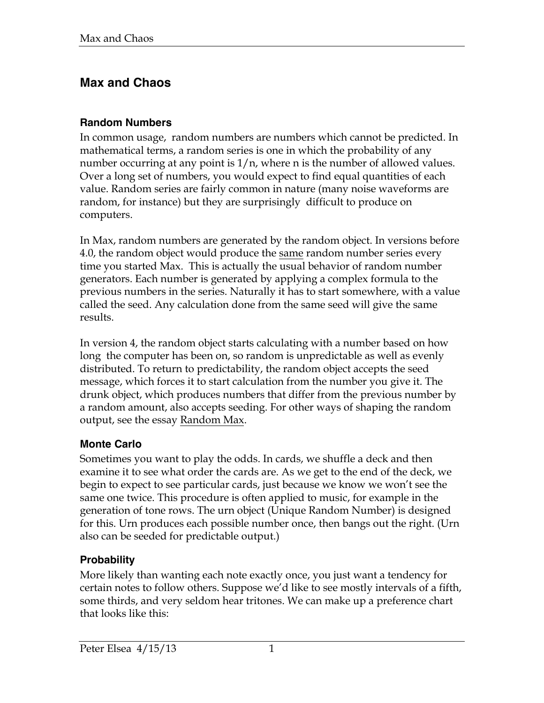# **Max and Chaos**

## **Random Numbers**

In common usage, random numbers are numbers which cannot be predicted. In mathematical terms, a random series is one in which the probability of any number occurring at any point is 1/n, where n is the number of allowed values. Over a long set of numbers, you would expect to find equal quantities of each value. Random series are fairly common in nature (many noise waveforms are random, for instance) but they are surprisingly difficult to produce on computers.

In Max, random numbers are generated by the random object. In versions before 4.0, the random object would produce the same random number series every time you started Max. This is actually the usual behavior of random number generators. Each number is generated by applying a complex formula to the previous numbers in the series. Naturally it has to start somewhere, with a value called the seed. Any calculation done from the same seed will give the same results.

In version 4, the random object starts calculating with a number based on how long the computer has been on, so random is unpredictable as well as evenly distributed. To return to predictability, the random object accepts the seed message, which forces it to start calculation from the number you give it. The drunk object, which produces numbers that differ from the previous number by a random amount, also accepts seeding. For other ways of shaping the random output, see the essay Random Max.

## **Monte Carlo**

Sometimes you want to play the odds. In cards, we shuffle a deck and then examine it to see what order the cards are. As we get to the end of the deck, we begin to expect to see particular cards, just because we know we won't see the same one twice. This procedure is often applied to music, for example in the generation of tone rows. The urn object (Unique Random Number) is designed for this. Urn produces each possible number once, then bangs out the right. (Urn also can be seeded for predictable output.)

## **Probability**

More likely than wanting each note exactly once, you just want a tendency for certain notes to follow others. Suppose we'd like to see mostly intervals of a fifth, some thirds, and very seldom hear tritones. We can make up a preference chart that looks like this: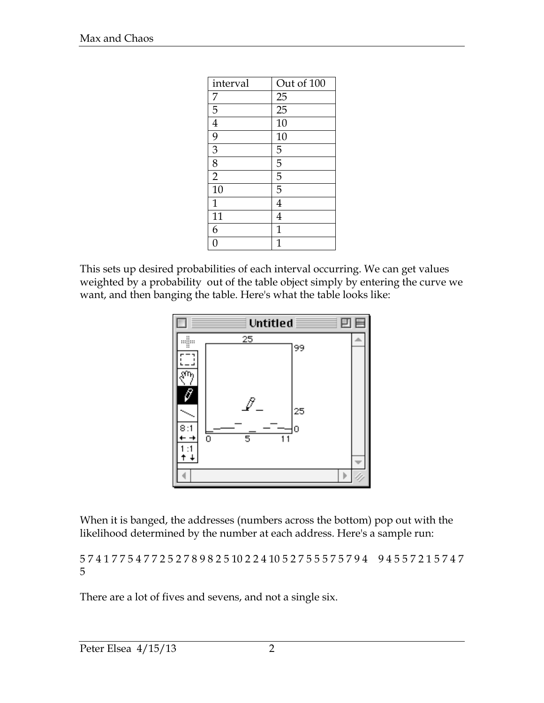| interval       | Out of 100      |
|----------------|-----------------|
| 7              | 25              |
| $\overline{5}$ | $\overline{25}$ |
| $\overline{4}$ | 10              |
| $\overline{9}$ | 10              |
| $\overline{3}$ | 5               |
| $\overline{8}$ | 5               |
| $\overline{2}$ | 5               |
| 10             | 5               |
| $\mathbf{1}$   | 4               |
| 11             | $\overline{4}$  |
| 6              | $\mathbf 1$     |
| N              |                 |

This sets up desired probabilities of each interval occurring. We can get values weighted by a probability out of the table object simply by entering the curve we want, and then banging the table. Here's what the table looks like:



When it is banged, the addresses (numbers across the bottom) pop out with the likelihood determined by the number at each address. Here's a sample run:

5 7 4 1 7 7 5 4 7 7 2 5 2 7 8 9 8 2 5 10 2 2 4 10 5 2 7 5 5 5 7 5 7 9 4 9 4 5 5 7 2 1 5 7 4 7 5

There are a lot of fives and sevens, and not a single six.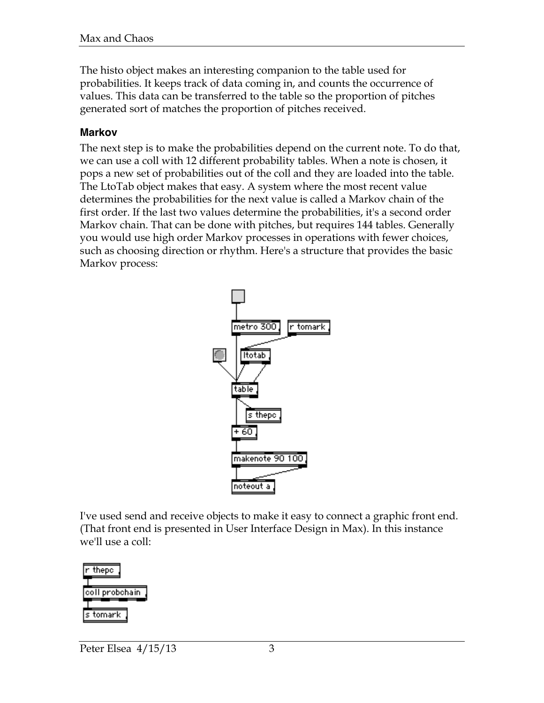The histo object makes an interesting companion to the table used for probabilities. It keeps track of data coming in, and counts the occurrence of values. This data can be transferred to the table so the proportion of pitches generated sort of matches the proportion of pitches received.

### **Markov**

The next step is to make the probabilities depend on the current note. To do that, we can use a coll with 12 different probability tables. When a note is chosen, it pops a new set of probabilities out of the coll and they are loaded into the table. The LtoTab object makes that easy. A system where the most recent value determines the probabilities for the next value is called a Markov chain of the first order. If the last two values determine the probabilities, it's a second order Markov chain. That can be done with pitches, but requires 144 tables. Generally you would use high order Markov processes in operations with fewer choices, such as choosing direction or rhythm. Here's a structure that provides the basic Markov process:



I've used send and receive objects to make it easy to connect a graphic front end. (That front end is presented in User Interface Design in Max). In this instance we'll use a coll:

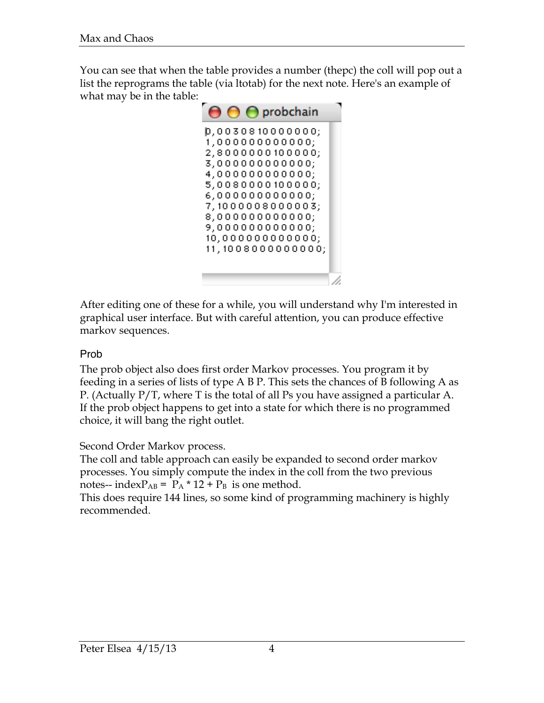You can see that when the table provides a number (thepc) the coll will pop out a list the reprograms the table (via ltotab) for the next note. Here's an example of what may be in the table:



After editing one of these for a while, you will understand why I'm interested in graphical user interface. But with careful attention, you can produce effective markov sequences.

### Prob

The prob object also does first order Markov processes. You program it by feeding in a series of lists of type A B P. This sets the chances of B following A as P. (Actually P/T, where T is the total of all Ps you have assigned a particular A. If the prob object happens to get into a state for which there is no programmed choice, it will bang the right outlet.

#### Second Order Markov process.

The coll and table approach can easily be expanded to second order markov processes. You simply compute the index in the coll from the two previous notes-- index $P_{AB}$  =  $P_A * 12 + P_B$  is one method.

This does require 144 lines, so some kind of programming machinery is highly recommended.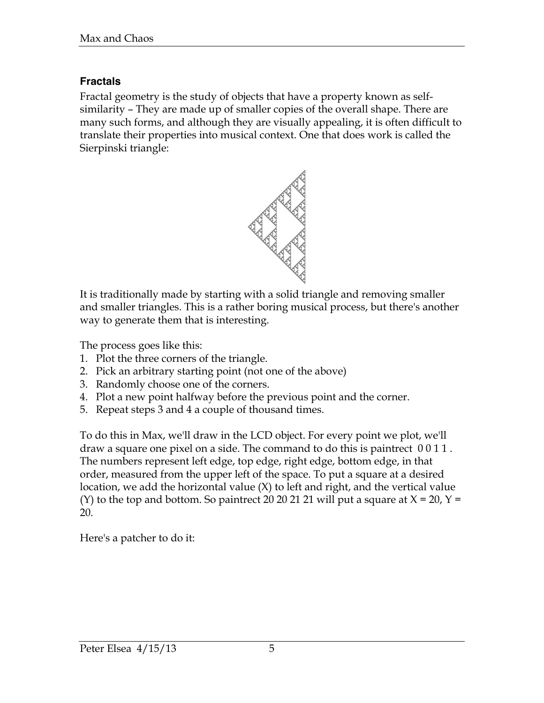## **Fractals**

Fractal geometry is the study of objects that have a property known as selfsimilarity – They are made up of smaller copies of the overall shape. There are many such forms, and although they are visually appealing, it is often difficult to translate their properties into musical context. One that does work is called the Sierpinski triangle:



It is traditionally made by starting with a solid triangle and removing smaller and smaller triangles. This is a rather boring musical process, but there's another way to generate them that is interesting.

The process goes like this:

- 1. Plot the three corners of the triangle.
- 2. Pick an arbitrary starting point (not one of the above)
- 3. Randomly choose one of the corners.
- 4. Plot a new point halfway before the previous point and the corner.
- 5. Repeat steps 3 and 4 a couple of thousand times.

To do this in Max, we'll draw in the LCD object. For every point we plot, we'll draw a square one pixel on a side. The command to do this is paintrect 0 0 1 1 . The numbers represent left edge, top edge, right edge, bottom edge, in that order, measured from the upper left of the space. To put a square at a desired location, we add the horizontal value (X) to left and right, and the vertical value (Y) to the top and bottom. So paintrect 20 20 21 21 will put a square at  $X = 20$ ,  $Y =$ 20.

Here's a patcher to do it: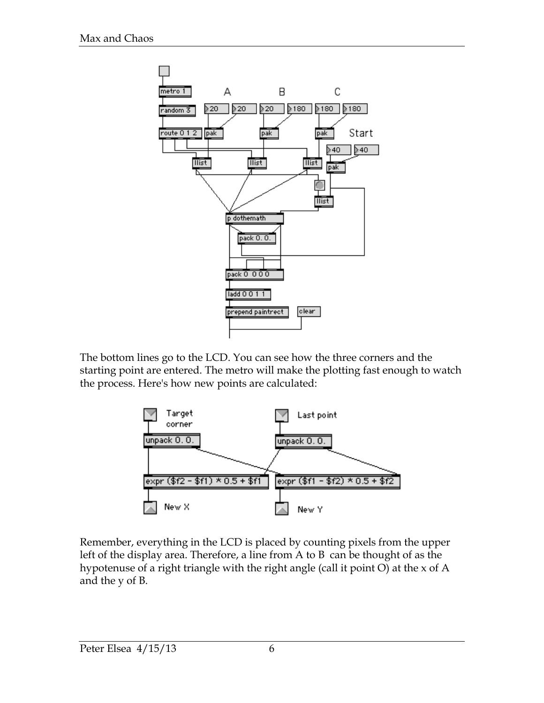

The bottom lines go to the LCD. You can see how the three corners and the starting point are entered. The metro will make the plotting fast enough to watch the process. Here's how new points are calculated:



Remember, everything in the LCD is placed by counting pixels from the upper left of the display area. Therefore, a line from A to B can be thought of as the hypotenuse of a right triangle with the right angle (call it point O) at the x of A and the y of B.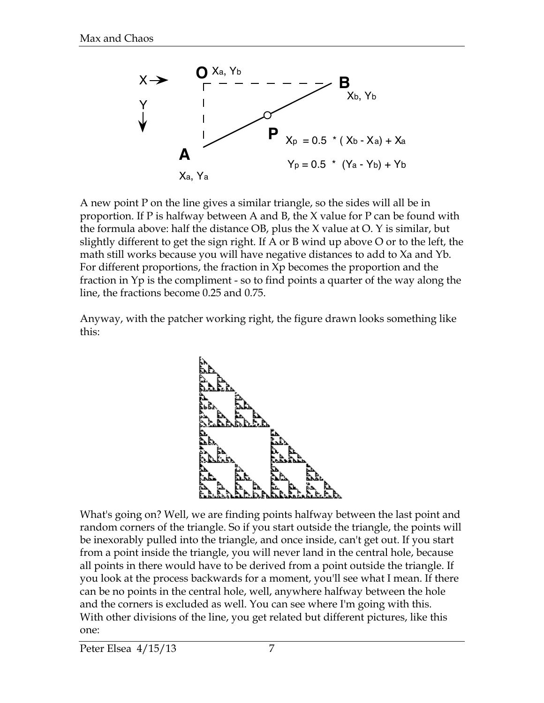

A new point P on the line gives a similar triangle, so the sides will all be in proportion. If P is halfway between A and B, the X value for P can be found with the formula above: half the distance OB, plus the X value at O. Y is similar, but slightly different to get the sign right. If A or B wind up above O or to the left, the math still works because you will have negative distances to add to Xa and Yb. For different proportions, the fraction in Xp becomes the proportion and the fraction in Yp is the compliment - so to find points a quarter of the way along the line, the fractions become 0.25 and 0.75.

Anyway, with the patcher working right, the figure drawn looks something like this:



What's going on? Well, we are finding points halfway between the last point and random corners of the triangle. So if you start outside the triangle, the points will be inexorably pulled into the triangle, and once inside, can't get out. If you start from a point inside the triangle, you will never land in the central hole, because all points in there would have to be derived from a point outside the triangle. If you look at the process backwards for a moment, you'll see what I mean. If there can be no points in the central hole, well, anywhere halfway between the hole and the corners is excluded as well. You can see where I'm going with this. With other divisions of the line, you get related but different pictures, like this one: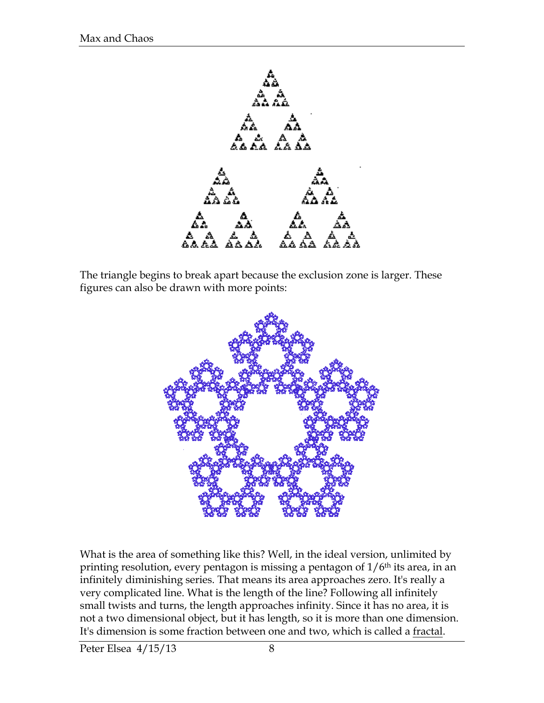

The triangle begins to break apart because the exclusion zone is larger. These figures can also be drawn with more points:



What is the area of something like this? Well, in the ideal version, unlimited by printing resolution, every pentagon is missing a pentagon of  $1/6<sup>th</sup>$  its area, in an infinitely diminishing series. That means its area approaches zero. It's really a very complicated line. What is the length of the line? Following all infinitely small twists and turns, the length approaches infinity. Since it has no area, it is not a two dimensional object, but it has length, so it is more than one dimension. It's dimension is some fraction between one and two, which is called a fractal.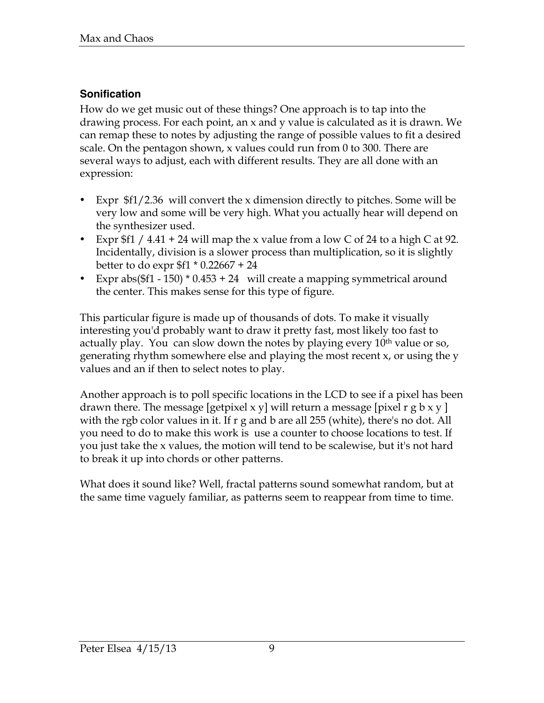## **Sonification**

How do we get music out of these things? One approach is to tap into the drawing process. For each point, an x and y value is calculated as it is drawn. We can remap these to notes by adjusting the range of possible values to fit a desired scale. On the pentagon shown, x values could run from 0 to 300. There are several ways to adjust, each with different results. They are all done with an expression:

- Expr \$f1/2.36 will convert the x dimension directly to pitches. Some will be very low and some will be very high. What you actually hear will depend on the synthesizer used.
- Expr  $f1 / 4.41 + 24$  will map the x value from a low C of 24 to a high C at 92. Incidentally, division is a slower process than multiplication, so it is slightly better to do expr \$f1 \* 0.22667 + 24
- Expr abs( $$f1 150$ )  $* 0.453 + 24$  will create a mapping symmetrical around the center. This makes sense for this type of figure.

This particular figure is made up of thousands of dots. To make it visually interesting you'd probably want to draw it pretty fast, most likely too fast to actually play. You can slow down the notes by playing every 10<sup>th</sup> value or so, generating rhythm somewhere else and playing the most recent x, or using the y values and an if then to select notes to play.

Another approach is to poll specific locations in the LCD to see if a pixel has been drawn there. The message [getpixel x y] will return a message [pixel r g b x y ] with the rgb color values in it. If r g and b are all 255 (white), there's no dot. All you need to do to make this work is use a counter to choose locations to test. If you just take the x values, the motion will tend to be scalewise, but it's not hard to break it up into chords or other patterns.

What does it sound like? Well, fractal patterns sound somewhat random, but at the same time vaguely familiar, as patterns seem to reappear from time to time.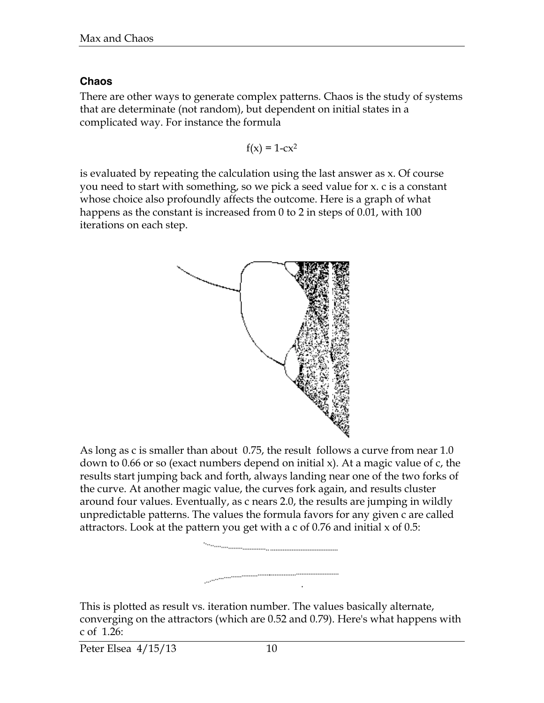## **Chaos**

There are other ways to generate complex patterns. Chaos is the study of systems that are determinate (not random), but dependent on initial states in a complicated way. For instance the formula

$$
f(x) = 1-cx^2
$$

is evaluated by repeating the calculation using the last answer as x. Of course you need to start with something, so we pick a seed value for x. c is a constant whose choice also profoundly affects the outcome. Here is a graph of what happens as the constant is increased from 0 to 2 in steps of 0.01, with 100 iterations on each step.



As long as c is smaller than about 0.75, the result follows a curve from near 1.0 down to 0.66 or so (exact numbers depend on initial x). At a magic value of c, the results start jumping back and forth, always landing near one of the two forks of the curve. At another magic value, the curves fork again, and results cluster around four values. Eventually, as c nears 2.0, the results are jumping in wildly unpredictable patterns. The values the formula favors for any given c are called attractors. Look at the pattern you get with a c of 0.76 and initial x of 0.5:



This is plotted as result vs. iteration number. The values basically alternate, converging on the attractors (which are 0.52 and 0.79). Here's what happens with c of 1.26:

Peter Elsea 4/15/13 10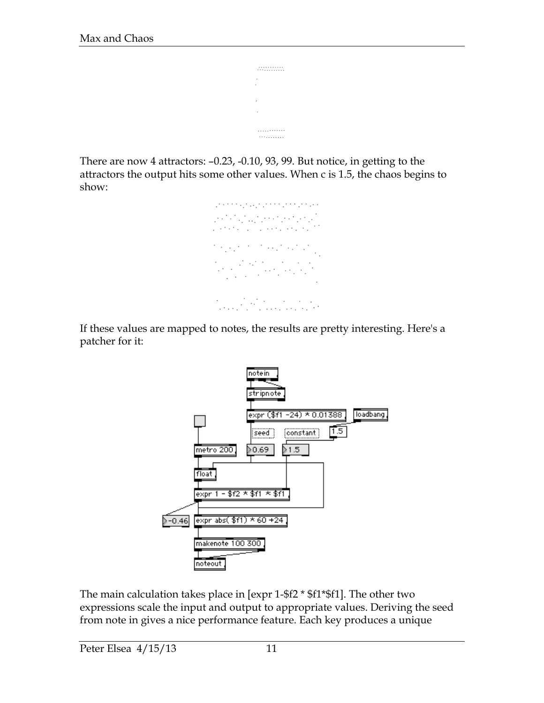```
. . . . . . . . . . . .
. . . . . . . . . . .
```
There are now 4 attractors: –0.23, -0.10, 93, 99. But notice, in getting to the attractors the output hits some other values. When c is 1.5, the chaos begins to show:



If these values are mapped to notes, the results are pretty interesting. Here's a patcher for it:



The main calculation takes place in [expr 1-\$f2 \* \$f1\*\$f1]. The other two expressions scale the input and output to appropriate values. Deriving the seed from note in gives a nice performance feature. Each key produces a unique